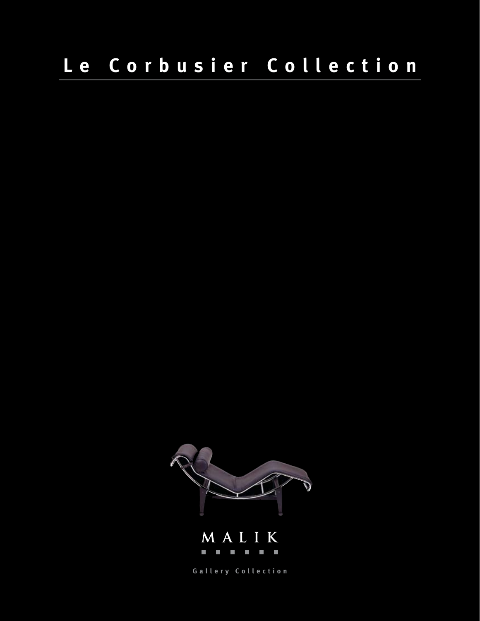# **Le Corbusier Collection**





**Gallery Collection**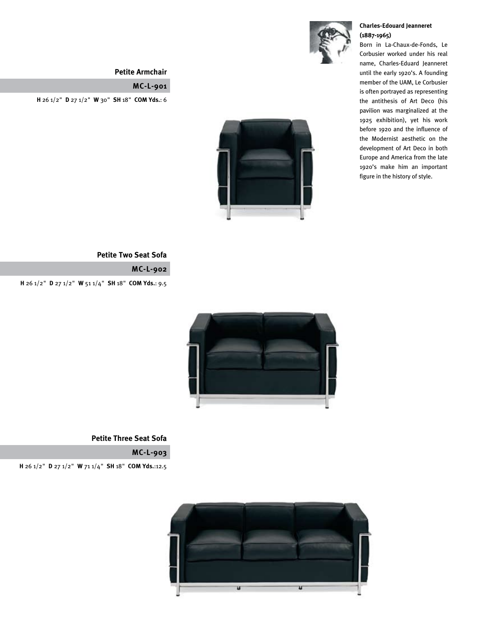

#### **Petite Armchair**

### **MC-L-901**

**H** 26 1/2" **D** 27 1/2" **W** 30" **SH** 18" **COM Yds.**: 6



#### **Petite Two Seat Sofa**

**MC-L-902**

**H** 26 1/2" **D** 27 1/2" **W** 51 1/4" **SH** 18" **COM Yds.**: 9.5



**Petite Three Seat Sofa**

**MC-L-903**

**H** 26 1/2" **D** 27 1/2" **W** 71 1/4" **SH** 18" **COM Yds.**:12.5



#### **Charles-Edouard Jeanneret (1887-1965)**

Born in La-Chaux-de-Fonds, Le Corbusier worked under his real name, Charles-Eduard Jeanneret until the early 1920's. A founding member of the UAM, Le Corbusier is often portrayed as representing the antithesis of Art Deco (his pavilion was marginalized at the 1925 exhibition), yet his work before 1920 and the influence of the Modernist aesthetic on the development of Art Deco in both Europe and America from the late 1920's make him an important figure in the history of style.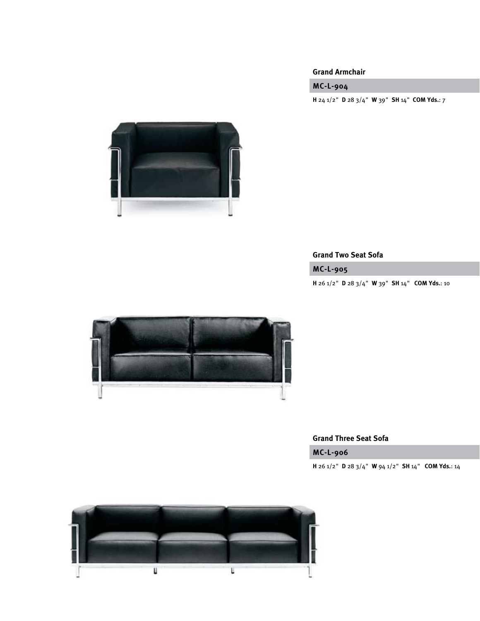#### **Grand Armchair**

# **MC-L-904**

**H** 24 1/2" **D** 28 3/4" **W** 39" **SH** 14" **COM Yds.**: 7



# **Grand Two Seat Sofa**

**MC-L-905**

**H** 26 1/2" **D** 28 3/4" **W** 39" **SH** 14" **COM Yds.**: 10



#### **Grand Three Seat Sofa**

**MC-L-906**

**H** 26 1/2" **D** 28 3/4" **W** 94 1/2" **SH** 14" **COM Yds.**: 14

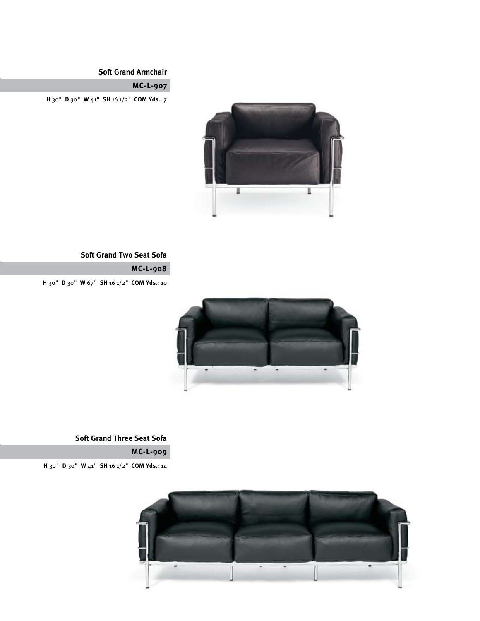# **Soft Grand Armchair**

# **MC-L-907**

**H** 30" **D** 30" **W** 41" **SH** 16 1/2" **COM Yds.**: 7



# **Soft Grand Two Seat Sofa**

**MC-L-908**

**H** 30" **D** 30" **W** 67" **SH** 16 1/2" **COM Yds.**: 10



# **Soft Grand Three Seat Sofa**

**MC-L-909**

**H** 30" **D** 30" **W** 41" **SH** 16 1/2" **COM Yds.**: 14

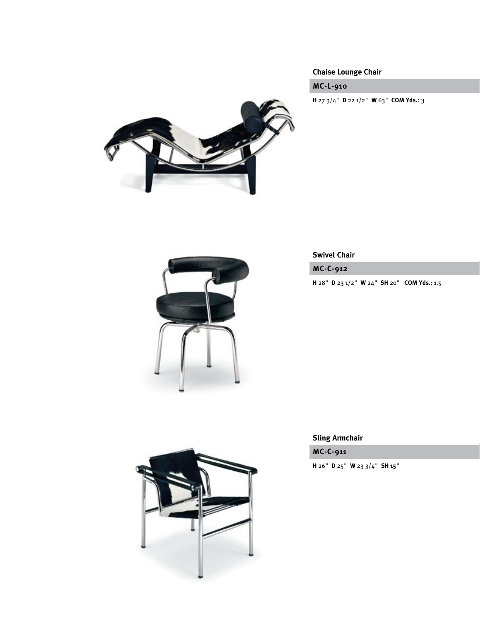# **Chaise Lounge Chair**

# **MC-L-910**

**H** 27 3/4" **D** 22 1/2" **W** 63" **COM Yds.**: 3





# **Swivel Chair**

**MC-C-912**

**H** 28" **D** 23 1/2" **W** 24" **SH** 20" **COM Yds.**: 1.5

**Sling Armchair**

**MC-C-911**

**H** 26" **D** 25" **W** 23 3/4" **SH 15**"

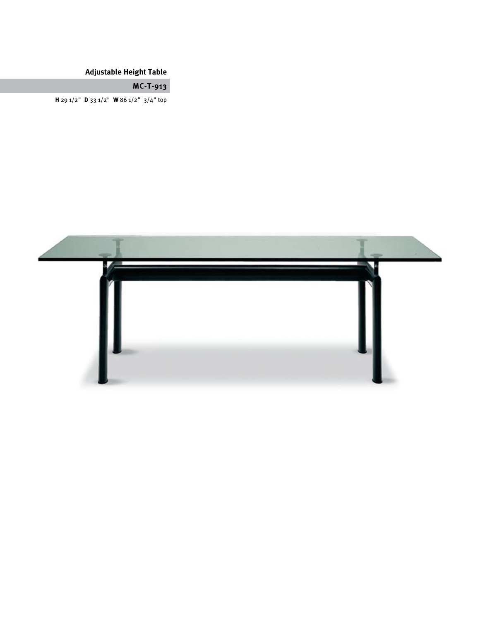# **Adjustable Height Table**

# **MC-T-913**

**H** 29 1/2" **D** 33 1/2" **W** 86 1/2" 3/4" top

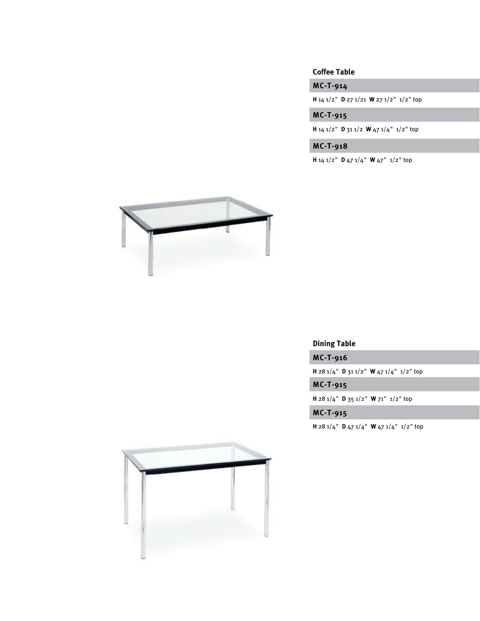#### **Coffee Table**

**MC-T-914**

**H** 14 1/2" **D** 27 1/21 **W** 27 1/2" 1/2" top

**MC-T-915**

**H** 14 1/2" **D** 31 1/2 **W** 47 1/4" 1/2" top

**MC-T-918**

**H** 14 1/2" **D** 47 1/4" **W** 47" 1/2" top



# **Dining Table**

**MC-T-916**

**H** 28 1/4" **D** 31 1/2" **W** 47 1/4" 1/2" top

**MC-T-915**

**H** 28 1/4" **D** 35 1/2" **W** 71" 1/2" top

# **MC-T-915**

**H** 28 1/4" **D** 47 1/4" **W** 47 1/4" 1/2" top